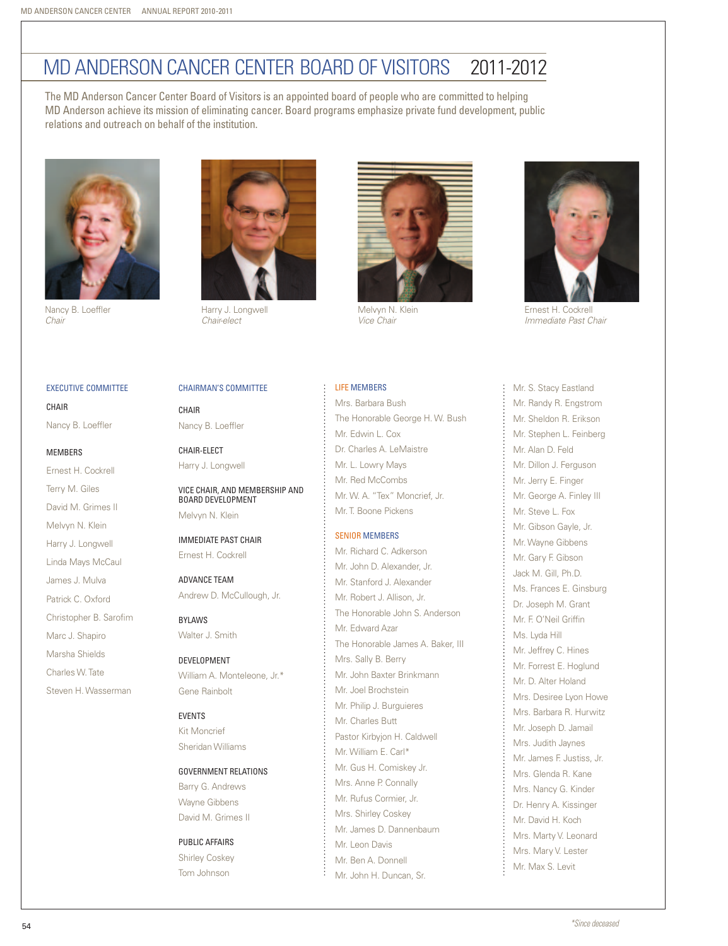# MD Anderson Cancer Center Board of Visitors 2011-2012

The MD Anderson Cancer Center Board of Visitors is an appointed board of people who are committed to helping MD Anderson achieve its mission of eliminating cancer. Board programs emphasize private fund development, public relations and outreach on behalf of the institution.



Nancy B. Loeffler *Chair*



**CHAIR** Nancy B. Loeffler

#### **MEMBERS**

Ernest H. Cockrell Terry M. Giles David M. Grimes II Melvyn N. Klein Harry J. Longwell Linda Mays McCaul James J. Mulva Patrick C. Oxford Christopher B. Sarofim Marc J. Shapiro Marsha Shields Charles W. Tate





Harry J. Longwell *Chair-elect*

Chairman's Committee

Vice Chair, and Membership and

Nancy B. Loeffler

Board Development Melvyn N. Klein

Immediate Past Chair Ernest H. Cockrell

Andrew D. McCullough, Jr.

William A. Monteleone, Jr.\*

Government Relations Barry G. Andrews Wayne Gibbens David M. Grimes II

Advance Team

Development

Gene Rainbolt

Public Affairs Shirley Coskey Tom Johnson

**EVENTS** Kit Moncrief Sheridan Williams

Bylaws Walter J. Smith

Chair-elect Harry J. Longwell

CHAIR



Melvyn N. Klein *Vice Chair*

### Life Members

Mrs. Barbara Bush The Honorable George H. W. Bush Mr. Edwin L. Cox Dr. Charles A. LeMaistre Mr. L. Lowry Mays Mr. Red McCombs Mr. W. A. "Tex" Moncrief, Jr. Mr. T. Boone Pickens

#### Senior Members

Mr. Richard C. Adkerson Mr. John D. Alexander, Jr. Mr. Stanford J. Alexander Mr. Robert J. Allison, Jr. The Honorable John S. Anderson Mr. Edward Azar The Honorable James A. Baker, III Mrs. Sally B. Berry Mr. John Baxter Brinkmann Mr. Joel Brochstein Mr. Philip J. Burguieres Mr. Charles Butt Pastor Kirbyjon H. Caldwell Mr. William E. Carl\* Mr. Gus H. Comiskey Jr. Mrs. Anne P. Connally Mr. Rufus Cormier, Jr. Mrs. Shirley Coskey Mr. James D. Dannenbaum Mr. Leon Davis Mr. Ben A. Donnell Mr. John H. Duncan, Sr.



Ernest H. Cockrell *Immediate Past Chair*

Mr. S. Stacy Eastland Mr. Randy R. Engstrom Mr. Sheldon R. Erikson Mr. Stephen L. Feinberg Mr. Alan D. Feld Mr. Dillon J. Ferguson Mr. Jerry E. Finger Mr. George A. Finley III Mr. Steve L. Fox Mr. Gibson Gayle, Jr. Mr. Wayne Gibbens Mr. Gary F. Gibson Jack M. Gill, Ph.D. Ms. Frances E. Ginsburg Dr. Joseph M. Grant Mr. F. O'Neil Griffin Ms. Lyda Hill Mr. Jeffrey C. Hines Mr. Forrest E. Hoglund Mr. D. Alter Holand Mrs. Desiree Lyon Howe Mrs. Barbara R. Hurwitz Mr. Joseph D. Jamail Mrs. Judith Jaynes Mr. James F. Justiss, Jr. Mrs. Glenda R. Kane Mrs. Nancy G. Kinder Dr. Henry A. Kissinger Mr. David H. Koch Mrs. Marty V. Leonard Mrs. Mary V. Lester Mr. Max S. Levit

*\*Since deceased* 54